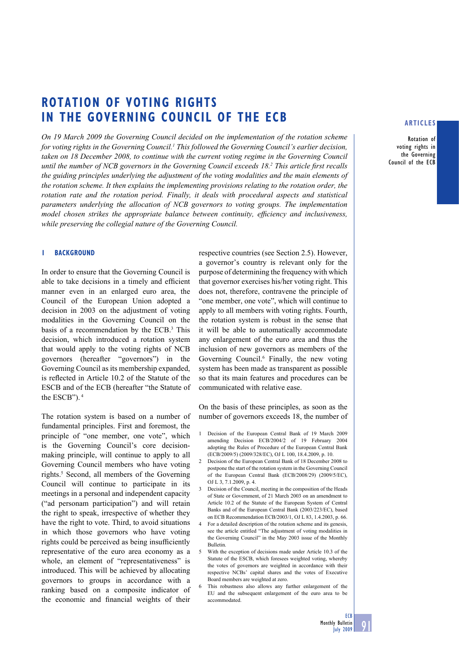# **ROTATION OF VOTING RIGHTS IN THE GOVERNING COUNCIL OF THE ECB**

*On 19 March 2009 the Governing Council decided on the implementation of the rotation scheme*  for voting rights in the Governing Council.<sup>1</sup> This followed the Governing Council's earlier decision, *taken on 18 December 2008, to continue with the current voting regime in the Governing Council*  until the number of NCB governors in the Governing Council exceeds 18.<sup>2</sup> This article first recalls *the guiding principles underlying the adjustment of the voting modalities and the main elements of the rotation scheme. It then explains the implementing provisions relating to the rotation order, the rotation rate and the rotation period. Finally, it deals with procedural aspects and statistical parameters underlying the allocation of NCB governors to voting groups. The implementation model chosen strikes the appropriate balance between continuity, efficiency and inclusiveness, while preserving the collegial nature of the Governing Council.* 

#### **1 BACKGROUND**

In order to ensure that the Governing Council is able to take decisions in a timely and efficient manner even in an enlarged euro area, the Council of the European Union adopted a decision in 2003 on the adjustment of voting modalities in the Governing Council on the basis of a recommendation by the ECB.3 This decision, which introduced a rotation system that would apply to the voting rights of NCB governors (hereafter "governors") in the Governing Council as its membership expanded, is reflected in Article 10.2 of the Statute of the ESCB and of the ECB (hereafter "the Statute of the ESCB"). 4

The rotation system is based on a number of fundamental principles. First and foremost, the principle of "one member, one vote", which is the Governing Council's core decisionmaking principle, will continue to apply to all Governing Council members who have voting rights.5 Second, all members of the Governing Council will continue to participate in its meetings in a personal and independent capacity ("ad personam participation") and will retain the right to speak, irrespective of whether they have the right to vote. Third, to avoid situations in which those governors who have voting rights could be perceived as being insufficiently representative of the euro area economy as a whole, an element of "representativeness" is introduced. This will be achieved by allocating governors to groups in accordance with a ranking based on a composite indicator of the economic and financial weights of their

respective countries (see Section 2.5). However, a governor's country is relevant only for the purpose of determining the frequency with which that governor exercises his/her voting right. This does not, therefore, contravene the principle of "one member, one vote", which will continue to apply to all members with voting rights. Fourth, the rotation system is robust in the sense that it will be able to automatically accommodate any enlargement of the euro area and thus the inclusion of new governors as members of the Governing Council.<sup>6</sup> Finally, the new voting system has been made as transparent as possible so that its main features and procedures can be communicated with relative ease.

On the basis of these principles, as soon as the number of governors exceeds 18, the number of

- 1 Decision of the European Central Bank of 19 March 2009 amending Decision ECB/2004/2 of 19 February 2004 adopting the Rules of Procedure of the European Central Bank (ECB/2009/5) (2009/328/EC), OJ L 100, 18.4.2009, p. 10.
- 2 Decision of the European Central Bank of 18 December 2008 to postpone the start of the rotation system in the Governing Council of the European Central Bank (ECB/2008/29) (2009/5/EC), OJ L 3, 7.1.2009, p. 4.
- 3 Decision of the Council, meeting in the composition of the Heads of State or Government, of 21 March 2003 on an amendment to Article 10.2 of the Statute of the European System of Central Banks and of the European Central Bank (2003/223/EC), based on ECB Recommendation ECB/2003/1, OJ L 83, 1.4.2003, p. 66.
- 4 For a detailed description of the rotation scheme and its genesis, see the article entitled "The adjustment of voting modalities in the Governing Council" in the May 2003 issue of the Monthly Bulletin.
- 5 With the exception of decisions made under Article 10.3 of the Statute of the ESCB, which foresees weighted voting, whereby the votes of governors are weighted in accordance with their respective NCBs' capital shares and the votes of Executive Board members are weighted at zero.
- 6 This robustness also allows any further enlargement of the EU and the subsequent enlargement of the euro area to be accommodated.

#### **ARTICLES**

**Rotation of voting rights in the Governing Council of the ECB**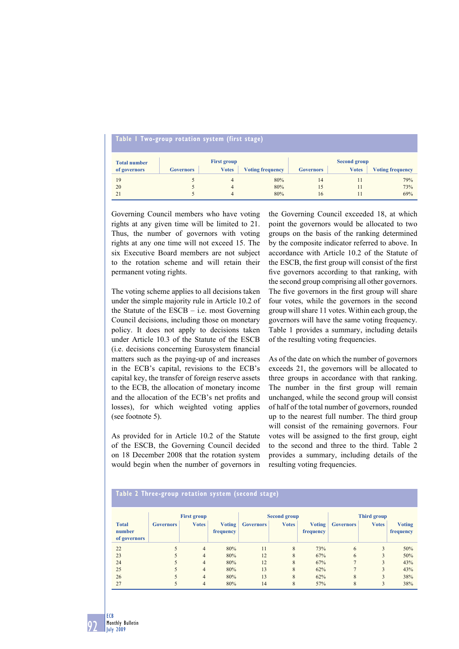| Table I Two-group rotation system (first stage) |                  |                                    |                         |                                                                                    |  |     |  |  |  |  |  |  |
|-------------------------------------------------|------------------|------------------------------------|-------------------------|------------------------------------------------------------------------------------|--|-----|--|--|--|--|--|--|
| <b>Total number</b><br>of governors             | <b>Governors</b> | <b>First group</b><br><b>Votes</b> | <b>Voting frequency</b> | <b>Second group</b><br><b>Votes</b><br><b>Voting frequency</b><br><b>Governors</b> |  |     |  |  |  |  |  |  |
| 19                                              |                  | 4                                  | 80%                     | 14                                                                                 |  | 79% |  |  |  |  |  |  |
| 20                                              |                  | 4                                  | 80%                     | 15                                                                                 |  | 73% |  |  |  |  |  |  |
| 21                                              |                  | 4                                  | 80%                     | 16                                                                                 |  | 69% |  |  |  |  |  |  |

Governing Council members who have voting rights at any given time will be limited to 21. Thus, the number of governors with voting rights at any one time will not exceed 15. The six Executive Board members are not subject to the rotation scheme and will retain their permanent voting rights.

The voting scheme applies to all decisions taken under the simple majority rule in Article 10.2 of the Statute of the ESCB – i.e. most Governing Council decisions, including those on monetary policy. It does not apply to decisions taken under Article 10.3 of the Statute of the ESCB (i.e. decisions concerning Eurosystem financial matters such as the paying-up of and increases in the ECB's capital, revisions to the ECB's capital key, the transfer of foreign reserve assets to the ECB, the allocation of monetary income and the allocation of the ECB's net profits and losses), for which weighted voting applies (see footnote 5).

As provided for in Article 10.2 of the Statute of the ESCB, the Governing Council decided on 18 December 2008 that the rotation system would begin when the number of governors in

the Governing Council exceeded 18, at which point the governors would be allocated to two groups on the basis of the ranking determined by the composite indicator referred to above. In accordance with Article 10.2 of the Statute of the ESCB, the first group will consist of the first five governors according to that ranking, with the second group comprising all other governors. The five governors in the first group will share four votes, while the governors in the second group will share 11 votes. Within each group, the governors will have the same voting frequency. Table 1 provides a summary, including details of the resulting voting frequencies.

As of the date on which the number of governors exceeds 21, the governors will be allocated to three groups in accordance with that ranking. The number in the first group will remain unchanged, while the second group will consist of half of the total number of governors, rounded up to the nearest full number. The third group will consist of the remaining governors. Four votes will be assigned to the first group, eight to the second and three to the third. Table 2 provides a summary, including details of the resulting voting frequencies.

### **Table 2 Three-group rotation system (second stage)**

|                                        | <b>First group</b> |                |                            | <b>Second group</b> |              |                            | Third group      |              |                            |
|----------------------------------------|--------------------|----------------|----------------------------|---------------------|--------------|----------------------------|------------------|--------------|----------------------------|
| <b>Total</b><br>number<br>of governors | <b>Governors</b>   | <b>Votes</b>   | <b>Voting</b><br>frequency | <b>Governors</b>    | <b>Votes</b> | <b>Voting</b><br>frequency | <b>Governors</b> | <b>Votes</b> | <b>Voting</b><br>frequency |
| 22                                     |                    | $\overline{4}$ | 80%                        | 11                  | 8            | 73%                        | 6                | 3            | 50%                        |
| 23                                     |                    | 4              | 80%                        | 12                  | 8            | 67%                        | 6                | 3            | 50%                        |
| 24                                     |                    | $\overline{4}$ | 80%                        | 12                  | 8            | 67%                        |                  | 3            | 43%                        |
| 25                                     |                    | $\overline{4}$ | 80%                        | 13                  | 8            | 62%                        |                  | 3            | 43%                        |
| 26                                     |                    | 4              | 80%                        | 13                  | 8            | 62%                        | 8                | 3            | 38%                        |
| 27                                     |                    | $\overline{4}$ | 80%                        | 14                  | 8            | 57%                        | 8                | 3            | 38%                        |

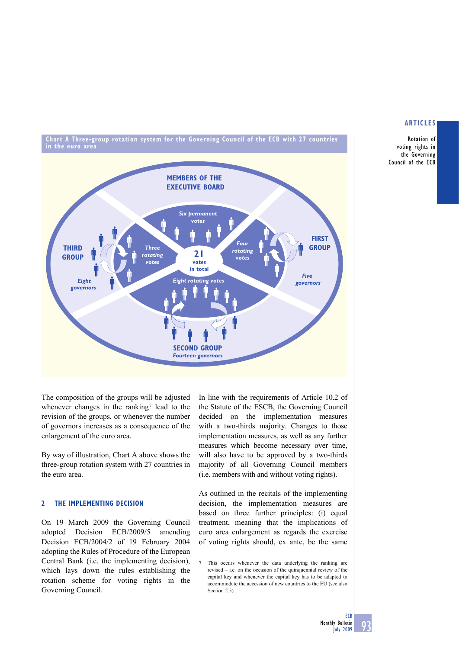**Rotation of voting rights in the Governing Council of the ECB** 

**Chart A Three-group rotation system for the Governing Council of the ECB with 27 countries in the euro area**



The composition of the groups will be adjusted whenever changes in the ranking<sup>7</sup> lead to the revision of the groups, or whenever the number of governors increases as a consequence of the enlargement of the euro area.

By way of illustration, Chart A above shows the three-group rotation system with 27 countries in the euro area.

# **2 THE IMPLEMENTING DECISION**

On 19 March 2009 the Governing Council adopted Decision ECB/2009/5 amending Decision ECB/2004/2 of 19 February 2004 adopting the Rules of Procedure of the European Central Bank (i.e. the implementing decision), which lays down the rules establishing the rotation scheme for voting rights in the Governing Council.

In line with the requirements of Article 10.2 of the Statute of the ESCB, the Governing Council decided on the implementation measures with a two-thirds majority. Changes to those implementation measures, as well as any further measures which become necessary over time, will also have to be approved by a two-thirds majority of all Governing Council members (i.e. members with and without voting rights).

As outlined in the recitals of the implementing decision, the implementation measures are based on three further principles: (i) equal treatment, meaning that the implications of euro area enlargement as regards the exercise of voting rights should, ex ante, be the same

7 This occurs whenever the data underlying the ranking are revised – i.e. on the occasion of the quinquennial review of the capital key and whenever the capital key has to be adapted to accommodate the accession of new countries to the EU (see also Section 2.5).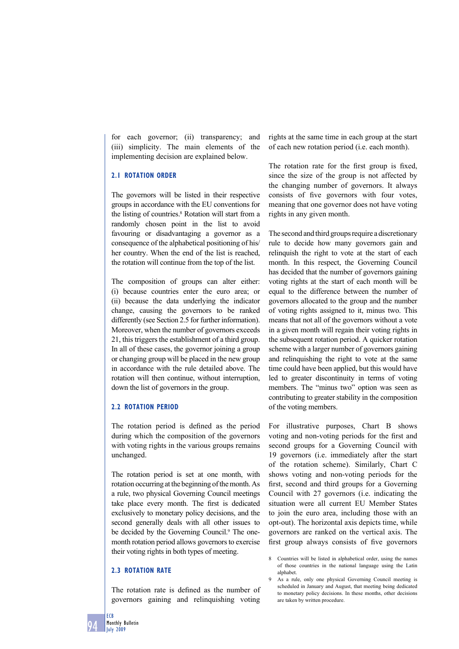for each governor; (ii) transparency; and (iii) simplicity. The main elements of the implementing decision are explained below.

# **2.1 ROTATION ORDER**

The governors will be listed in their respective groups in accordance with the EU conventions for the listing of countries.<sup>8</sup> Rotation will start from a randomly chosen point in the list to avoid favouring or disadvantaging a governor as a consequence of the alphabetical positioning of his/ her country. When the end of the list is reached, the rotation will continue from the top of the list.

The composition of groups can alter either: (i) because countries enter the euro area; or (ii) because the data underlying the indicator change, causing the governors to be ranked differently (see Section 2.5 for further information). Moreover, when the number of governors exceeds 21, this triggers the establishment of a third group. In all of these cases, the governor joining a group or changing group will be placed in the new group in accordance with the rule detailed above. The rotation will then continue, without interruption, down the list of governors in the group.

# **2.2 ROTATION PERIOD**

The rotation period is defined as the period during which the composition of the governors with voting rights in the various groups remains unchanged.

The rotation period is set at one month, with rotation occurring at the beginning of the month. As a rule, two physical Governing Council meetings take place every month. The first is dedicated exclusively to monetary policy decisions, and the second generally deals with all other issues to be decided by the Governing Council.<sup>9</sup> The onemonth rotation period allows governors to exercise their voting rights in both types of meeting.

# **2.3 ROTATION RATE**

The rotation rate is defined as the number of governors gaining and relinquishing voting

rights at the same time in each group at the start of each new rotation period (i.e. each month).

The rotation rate for the first group is fixed, since the size of the group is not affected by the changing number of governors. It always consists of five governors with four votes, meaning that one governor does not have voting rights in any given month.

The second and third groups require a discretionary rule to decide how many governors gain and relinquish the right to vote at the start of each month. In this respect, the Governing Council has decided that the number of governors gaining voting rights at the start of each month will be equal to the difference between the number of governors allocated to the group and the number of voting rights assigned to it, minus two. This means that not all of the governors without a vote in a given month will regain their voting rights in the subsequent rotation period. A quicker rotation scheme with a larger number of governors gaining and relinquishing the right to vote at the same time could have been applied, but this would have led to greater discontinuity in terms of voting members. The "minus two" option was seen as contributing to greater stability in the composition of the voting members.

For illustrative purposes, Chart B shows voting and non-voting periods for the first and second groups for a Governing Council with 19 governors (i.e. immediately after the start of the rotation scheme). Similarly, Chart C shows voting and non-voting periods for the first, second and third groups for a Governing Council with 27 governors (i.e. indicating the situation were all current EU Member States to join the euro area, including those with an opt-out). The horizontal axis depicts time, while governors are ranked on the vertical axis. The first group always consists of five governors

**ECB**

<sup>8</sup> Countries will be listed in alphabetical order, using the names of those countries in the national language using the Latin alphabet.

<sup>9</sup> As a rule, only one physical Governing Council meeting is scheduled in January and August, that meeting being dedicated to monetary policy decisions. In these months, other decisions are taken by written procedure.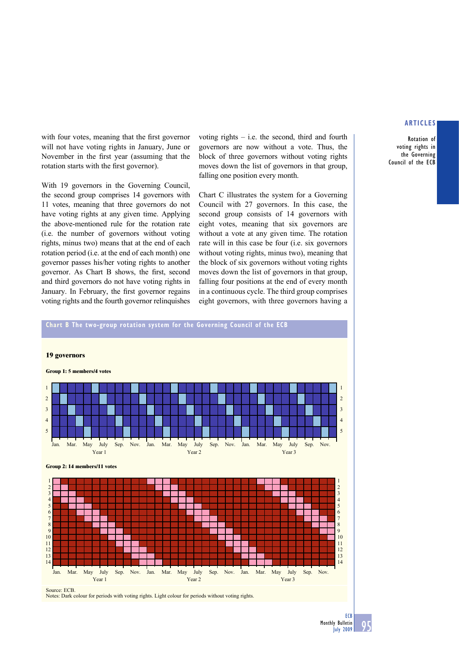**Rotation of voting rights in the Governing Council of the ECB** 

with four votes, meaning that the first governor will not have voting rights in January, June or November in the first year (assuming that the rotation starts with the first governor).

With 19 governors in the Governing Council, the second group comprises 14 governors with 11 votes, meaning that three governors do not have voting rights at any given time. Applying the above-mentioned rule for the rotation rate (i.e. the number of governors without voting rights, minus two) means that at the end of each rotation period (i.e. at the end of each month) one governor passes his/her voting rights to another governor. As Chart B shows, the first, second and third governors do not have voting rights in January. In February, the first governor regains voting rights and the fourth governor relinquishes

voting rights – i.e. the second, third and fourth governors are now without a vote. Thus, the block of three governors without voting rights moves down the list of governors in that group, falling one position every month.

Chart C illustrates the system for a Governing Council with 27 governors. In this case, the second group consists of 14 governors with eight votes, meaning that six governors are without a vote at any given time. The rotation rate will in this case be four (i.e. six governors without voting rights, minus two), meaning that the block of six governors without voting rights moves down the list of governors in that group, falling four positions at the end of every month in a continuous cycle. The third group comprises eight governors, with three governors having a

# **Chart B The two-group rotation system for the Governing Council of the ECB 19 governors Group 1: 5 members/4 votes** 2 3 4 5 1 Jan. Mar. May July Sep. Nov. Jan. Mar. May July Sep. Nov. Jan. Mar. May July Sep. Nov. Year 1 Year 2 Year 3 Year 2 Year 3 Year 3 Year 3 Year 3 Year 3 Year 3 Year 3 Year 3 **Group 2: 14 members/11 votes** 2 3 4 5 6 7 8 9 10 11 12  $\frac{13}{14}$ 1 1 14 14

Jan. Mar. May July Sep. Nov. Jan. Mar. May July Sep. Nov. Jan. Mar. May July Sep. Nov. Year 1 Year 2 Year 3 Year 2 Year 3 Year 3 Year 3 Year 3 Year 3 Year 3 Year 3 Year 3

Source: ECB. Notes: Dark colour for periods with voting rights. Light colour for periods without voting rights.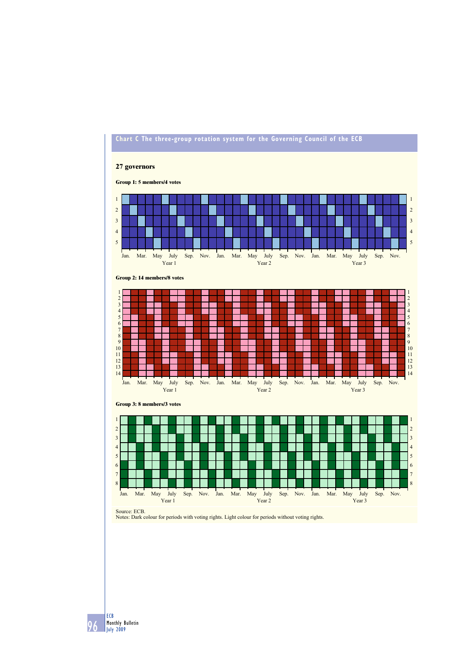

 **ECB Monthly Bulletin July 2009**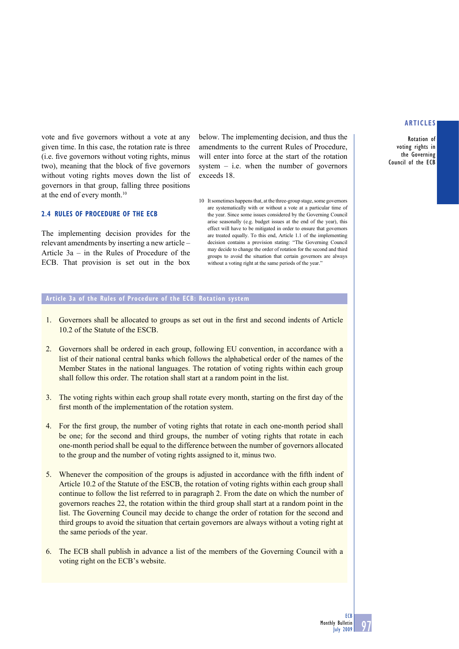**Rotation of voting rights in the Governing Council of the ECB** 

vote and five governors without a vote at any given time. In this case, the rotation rate is three (i.e. five governors without voting rights, minus two), meaning that the block of five governors without voting rights moves down the list of governors in that group, falling three positions at the end of every month.10

#### **2.4 RULES OF PROCEDURE OF THE ECB**

The implementing decision provides for the relevant amendments by inserting a new article – Article 3a – in the Rules of Procedure of the ECB. That provision is set out in the box

below. The implementing decision, and thus the amendments to the current Rules of Procedure, will enter into force at the start of the rotation system  $-$  i.e. when the number of governors exceeds 18.

10 It sometimes happens that, at the three-group stage, some governors are systematically with or without a vote at a particular time of the year. Since some issues considered by the Governing Council arise seasonally (e.g. budget issues at the end of the year), this effect will have to be mitigated in order to ensure that governors are treated equally. To this end, Article 1.1 of the implementing decision contains a provision stating: "The Governing Council may decide to change the order of rotation for the second and third groups to avoid the situation that certain governors are always without a voting right at the same periods of the year."

### **Article 3a of the Rules of Procedure of the ECB: Rotation system**

- 1. Governors shall be allocated to groups as set out in the first and second indents of Article 10.2 of the Statute of the ESCB.
- 2. Governors shall be ordered in each group, following EU convention, in accordance with a list of their national central banks which follows the alphabetical order of the names of the Member States in the national languages. The rotation of voting rights within each group shall follow this order. The rotation shall start at a random point in the list.
- 3. The voting rights within each group shall rotate every month, starting on the first day of the first month of the implementation of the rotation system.
- 4. For the first group, the number of voting rights that rotate in each one-month period shall be one; for the second and third groups, the number of voting rights that rotate in each one-month period shall be equal to the difference between the number of governors allocated to the group and the number of voting rights assigned to it, minus two.
- 5. Whenever the composition of the groups is adjusted in accordance with the fifth indent of Article 10.2 of the Statute of the ESCB, the rotation of voting rights within each group shall continue to follow the list referred to in paragraph 2. From the date on which the number of governors reaches 22, the rotation within the third group shall start at a random point in the list. The Governing Council may decide to change the order of rotation for the second and third groups to avoid the situation that certain governors are always without a voting right at the same periods of the year.
- 6. The ECB shall publish in advance a list of the members of the Governing Council with a voting right on the ECB's website.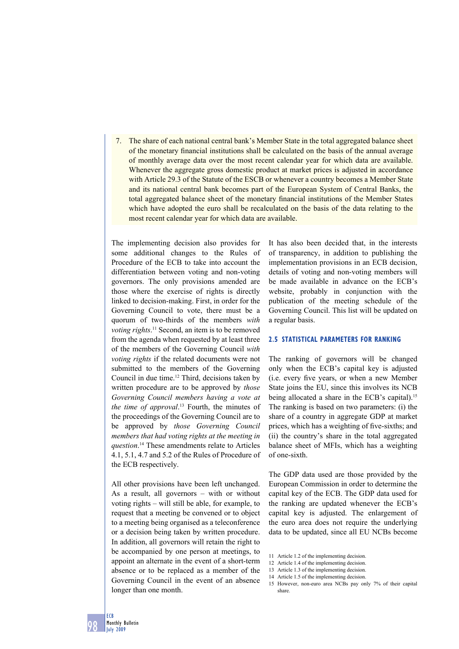7. The share of each national central bank's Member State in the total aggregated balance sheet of the monetary financial institutions shall be calculated on the basis of the annual average of monthly average data over the most recent calendar year for which data are available. Whenever the aggregate gross domestic product at market prices is adjusted in accordance with Article 29.3 of the Statute of the ESCB or whenever a country becomes a Member State and its national central bank becomes part of the European System of Central Banks, the total aggregated balance sheet of the monetary financial institutions of the Member States which have adopted the euro shall be recalculated on the basis of the data relating to the most recent calendar year for which data are available.

The implementing decision also provides for some additional changes to the Rules of Procedure of the ECB to take into account the differentiation between voting and non-voting governors. The only provisions amended are those where the exercise of rights is directly linked to decision-making. First, in order for the Governing Council to vote, there must be a quorum of two-thirds of the members *with voting rights*. 11 Second, an item is to be removed from the agenda when requested by at least three of the members of the Governing Council *with voting rights* if the related documents were not submitted to the members of the Governing Council in due time.12 Third, decisions taken by written procedure are to be approved by *those Governing Council members having a vote at the time of approval*. 13 Fourth, the minutes of the proceedings of the Governing Council are to be approved by *those Governing Council members that had voting rights at the meeting in question*. 14 These amendments relate to Articles 4.1, 5.1, 4.7 and 5.2 of the Rules of Procedure of the ECB respectively.

All other provisions have been left unchanged. As a result, all governors – with or without voting rights – will still be able, for example, to request that a meeting be convened or to object to a meeting being organised as a teleconference or a decision being taken by written procedure. In addition, all governors will retain the right to be accompanied by one person at meetings, to appoint an alternate in the event of a short-term absence or to be replaced as a member of the Governing Council in the event of an absence longer than one month.

It has also been decided that, in the interests of transparency, in addition to publishing the implementation provisions in an ECB decision, details of voting and non-voting members will be made available in advance on the ECB's website, probably in conjunction with the publication of the meeting schedule of the Governing Council. This list will be updated on a regular basis.

#### **2.5 STATISTICAL PARAMETERS FOR RANKING**

The ranking of governors will be changed only when the ECB's capital key is adjusted (i.e. every five years, or when a new Member State joins the EU, since this involves its NCB being allocated a share in the ECB's capital).<sup>15</sup> The ranking is based on two parameters: (i) the share of a country in aggregate GDP at market prices, which has a weighting of five-sixths; and (ii) the country's share in the total aggregated balance sheet of MFIs, which has a weighting of one-sixth.

The GDP data used are those provided by the European Commission in order to determine the capital key of the ECB. The GDP data used for the ranking are updated whenever the ECB's capital key is adjusted. The enlargement of the euro area does not require the underlying data to be updated, since all EU NCBs become

- 11 Article 1.2 of the implementing decision.
- 12 Article 1.4 of the implementing decision.
- 13 Article 1.3 of the implementing decision.
- 14 Article 1.5 of the implementing decision.

<sup>15</sup> However, non-euro area NCBs pay only 7% of their capital share.